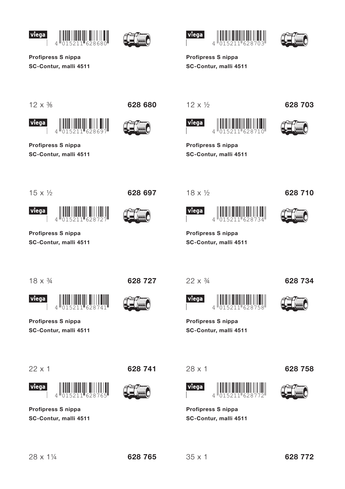





Profipress S nippa SC-Contur, malli 4511

 $\overline{4}$ 

Profipress S nippa

SC-Contur, malli 4511





Profipress S nippa SC-Contur, malli 4511

 $12 \times \frac{3}{8}$ 

viega





 $12 \times \frac{1}{2}$ 





628 703

Profipress S nippa SC-Contur, malli 4511

 $15 \times \frac{1}{2}$ 

viega

628 697



 $18 \times \frac{1}{2}$ 



628 710

Profipress S nippa SC-Contur, malli 4511

 $\overline{A}$ 

 $18 \times \frac{3}{4}$ 

Profipress S nippa

SC-Contur, malli 4511

 $4^{\mathsf{II}}$ 

SC-Contur, malli 4511

Profipress S nippa

viega

 $22 \times 1$ 

viega





628 727

 $22 \times \frac{3}{4}$ 



Profipress S nippa

SC-Contur, malli 4511



628 734

Profipress S nippa SC-Contur, malli 4511

 $\overline{\mathcal{L}}$ 



 $28 \times 1$ 





628 758

Profipress S nippa SC-Contur, malli 4511

28 x 11/4

628 765

 $35 \times 1$ 

628 772